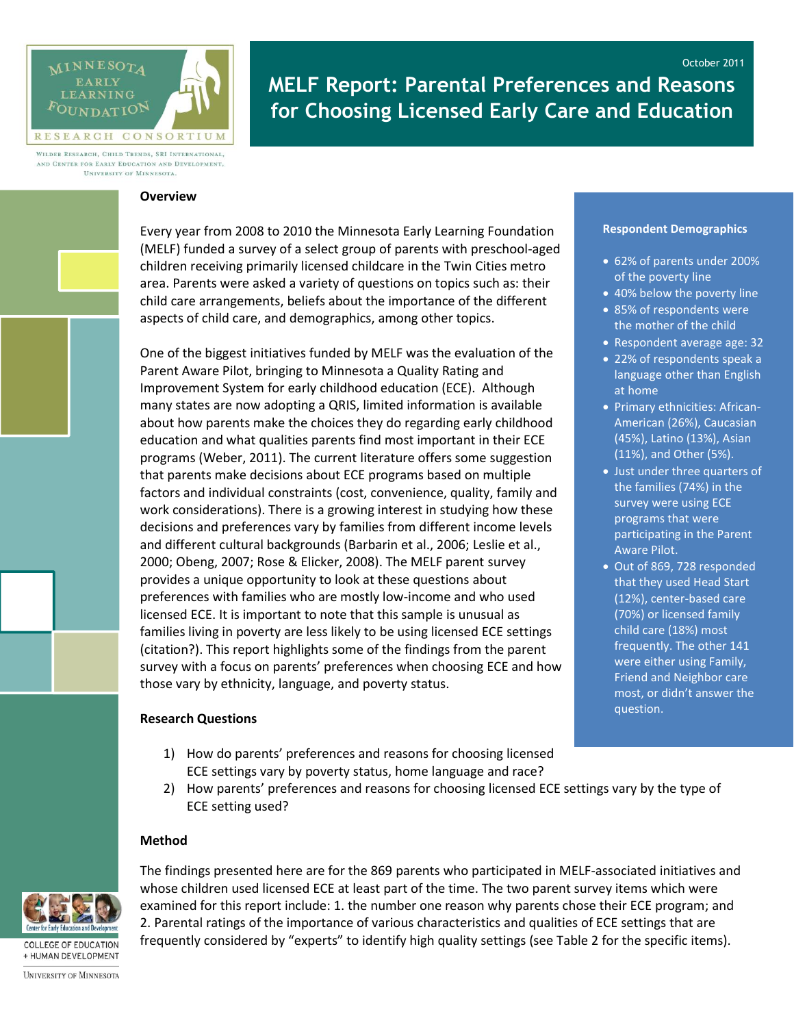

# October 2011 **MELF Report: Parental Preferences and Reasons for Choosing Licensed Early Care and Education**

WILDER RESEARCH, CHILD TRENDS, SRI INTERNATIONAL, AND CENTER FOR EARLY EDUCATION AND DEVELOPMENT, UNIVERSITY OF MINNESOTA.

#### **Overview**

Every year from 2008 to 2010 the Minnesota Early Learning Foundation (MELF) funded a survey of a select group of parents with preschool-aged children receiving primarily licensed childcare in the Twin Cities metro area. Parents were asked a variety of questions on topics such as: their child care arrangements, beliefs about the importance of the different aspects of child care, and demographics, among other topics.

One of the biggest initiatives funded by MELF was the evaluation of the Parent Aware Pilot, bringing to Minnesota a Quality Rating and Improvement System for early childhood education (ECE). Although many states are now adopting a QRIS, limited information is available about how parents make the choices they do regarding early childhood education and what qualities parents find most important in their ECE programs (Weber, 2011). The current literature offers some suggestion that parents make decisions about ECE programs based on multiple factors and individual constraints (cost, convenience, quality, family and work considerations). There is a growing interest in studying how these decisions and preferences vary by families from different income levels and different cultural backgrounds (Barbarin et al., 2006; Leslie et al., 2000; Obeng, 2007; Rose & Elicker, 2008). The MELF parent survey provides a unique opportunity to look at these questions about preferences with families who are mostly low-income and who used licensed ECE. It is important to note that this sample is unusual as families living in poverty are less likely to be using licensed ECE settings (citation?). This report highlights some of the findings from the parent survey with a focus on parents' preferences when choosing ECE and how those vary by ethnicity, language, and poverty status.

### **Research Questions**

- 1) How do parents' preferences and reasons for choosing licensed ECE settings vary by poverty status, home language and race?
- 2) How parents' preferences and reasons for choosing licensed ECE settings vary by the type of ECE setting used?

### **Method**



**COLLEGE OF EDUCATION** + HUMAN DEVELOPMENT The findings presented here are for the 869 parents who participated in MELF-associated initiatives and whose children used licensed ECE at least part of the time. The two parent survey items which were examined for this report include: 1. the number one reason why parents chose their ECE program; and 2. Parental ratings of the importance of various characteristics and qualities of ECE settings that are frequently considered by "experts" to identify high quality settings (see Table 2 for the specific items).

#### **Respondent Demographics**

- 62% of parents under 200% of the poverty line
- 40% below the poverty line 85% of respondents were the mother of the child
- Respondent average age: 32
- 22% of respondents speak a language other than English at home
- Primary ethnicities: African-American (26%), Caucasian (45%), Latino (13%), Asian (11%), and Other (5%).
- Just under three quarters of the families (74%) in the survey were using ECE programs that were participating in the Parent Aware Pilot.
- Out of 869, 728 responded that they used Head Start (12%), center-based care (70%) or licensed family child care (18%) most frequently. The other 141 were either using Family, Friend and Neighbor care most, or didn't answer the question.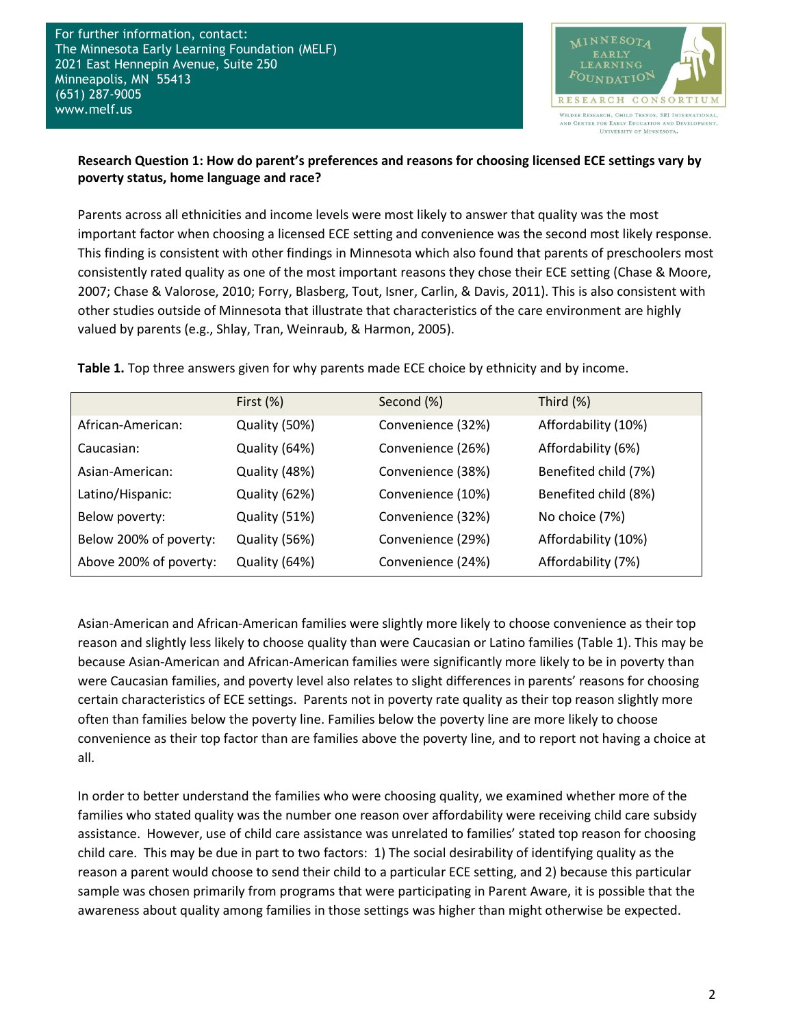For further information, contact: The Minnesota Early Learning Foundation (MELF) 2021 East Hennepin Avenue, Suite 250 Minneapolis, MN 55413 (651) 287-9005 www.melf.us



### **Research Question 1: How do parent's preferences and reasons for choosing licensed ECE settings vary by poverty status, home language and race?**

Parents across all ethnicities and income levels were most likely to answer that quality was the most important factor when choosing a licensed ECE setting and convenience was the second most likely response. This finding is consistent with other findings in Minnesota which also found that parents of preschoolers most consistently rated quality as one of the most important reasons they chose their ECE setting (Chase & Moore, 2007; Chase & Valorose, 2010; Forry, Blasberg, Tout, Isner, Carlin, & Davis, 2011). This is also consistent with other studies outside of Minnesota that illustrate that characteristics of the care environment are highly valued by parents (e.g., Shlay, Tran, Weinraub, & Harmon, 2005).

**Table 1.** Top three answers given for why parents made ECE choice by ethnicity and by income.

|                        | First $(\%)$  | Second (%)        | Third (%)            |
|------------------------|---------------|-------------------|----------------------|
| African-American:      | Quality (50%) | Convenience (32%) | Affordability (10%)  |
| Caucasian:             | Quality (64%) | Convenience (26%) | Affordability (6%)   |
| Asian-American:        | Quality (48%) | Convenience (38%) | Benefited child (7%) |
| Latino/Hispanic:       | Quality (62%) | Convenience (10%) | Benefited child (8%) |
| Below poverty:         | Quality (51%) | Convenience (32%) | No choice (7%)       |
| Below 200% of poverty: | Quality (56%) | Convenience (29%) | Affordability (10%)  |
| Above 200% of poverty: | Quality (64%) | Convenience (24%) | Affordability (7%)   |

Asian-American and African-American families were slightly more likely to choose convenience as their top reason and slightly less likely to choose quality than were Caucasian or Latino families (Table 1). This may be because Asian-American and African-American families were significantly more likely to be in poverty than were Caucasian families, and poverty level also relates to slight differences in parents' reasons for choosing certain characteristics of ECE settings. Parents not in poverty rate quality as their top reason slightly more often than families below the poverty line. Families below the poverty line are more likely to choose convenience as their top factor than are families above the poverty line, and to report not having a choice at all.

In order to better understand the families who were choosing quality, we examined whether more of the families who stated quality was the number one reason over affordability were receiving child care subsidy assistance. However, use of child care assistance was unrelated to families' stated top reason for choosing child care. This may be due in part to two factors: 1) The social desirability of identifying quality as the reason a parent would choose to send their child to a particular ECE setting, and 2) because this particular sample was chosen primarily from programs that were participating in Parent Aware, it is possible that the awareness about quality among families in those settings was higher than might otherwise be expected.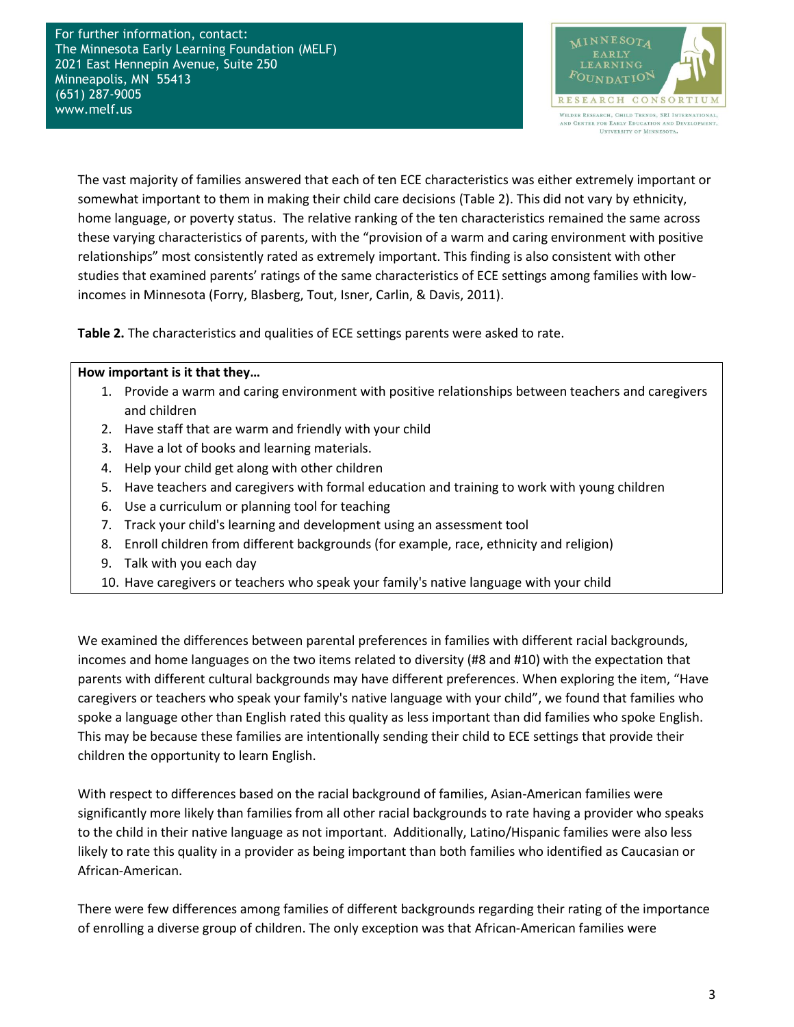For further information, contact: The Minnesota Early Learning Foundation (MELF) 2021 East Hennepin Avenue, Suite 250 Minneapolis, MN 55413 (651) 287-9005 www.melf.us



The vast majority of families answered that each of ten ECE characteristics was either extremely important or somewhat important to them in making their child care decisions (Table 2). This did not vary by ethnicity, home language, or poverty status. The relative ranking of the ten characteristics remained the same across these varying characteristics of parents, with the "provision of a warm and caring environment with positive relationships" most consistently rated as extremely important. This finding is also consistent with other studies that examined parents' ratings of the same characteristics of ECE settings among families with lowincomes in Minnesota (Forry, Blasberg, Tout, Isner, Carlin, & Davis, 2011).

**Table 2.** The characteristics and qualities of ECE settings parents were asked to rate.

### **How important is it that they…**

- 1. Provide a warm and caring environment with positive relationships between teachers and caregivers and children
- 2. Have staff that are warm and friendly with your child
- 3. Have a lot of books and learning materials.
- 4. Help your child get along with other children
- 5. Have teachers and caregivers with formal education and training to work with young children
- 6. Use a curriculum or planning tool for teaching
- 7. Track your child's learning and development using an assessment tool
- 8. Enroll children from different backgrounds (for example, race, ethnicity and religion)
- 9. Talk with you each day
- 10. Have caregivers or teachers who speak your family's native language with your child

We examined the differences between parental preferences in families with different racial backgrounds, incomes and home languages on the two items related to diversity (#8 and #10) with the expectation that parents with different cultural backgrounds may have different preferences. When exploring the item, "Have caregivers or teachers who speak your family's native language with your child", we found that families who spoke a language other than English rated this quality as less important than did families who spoke English. This may be because these families are intentionally sending their child to ECE settings that provide their children the opportunity to learn English.

With respect to differences based on the racial background of families, Asian-American families were significantly more likely than families from all other racial backgrounds to rate having a provider who speaks to the child in their native language as not important. Additionally, Latino/Hispanic families were also less likely to rate this quality in a provider as being important than both families who identified as Caucasian or African-American.

There were few differences among families of different backgrounds regarding their rating of the importance of enrolling a diverse group of children. The only exception was that African-American families were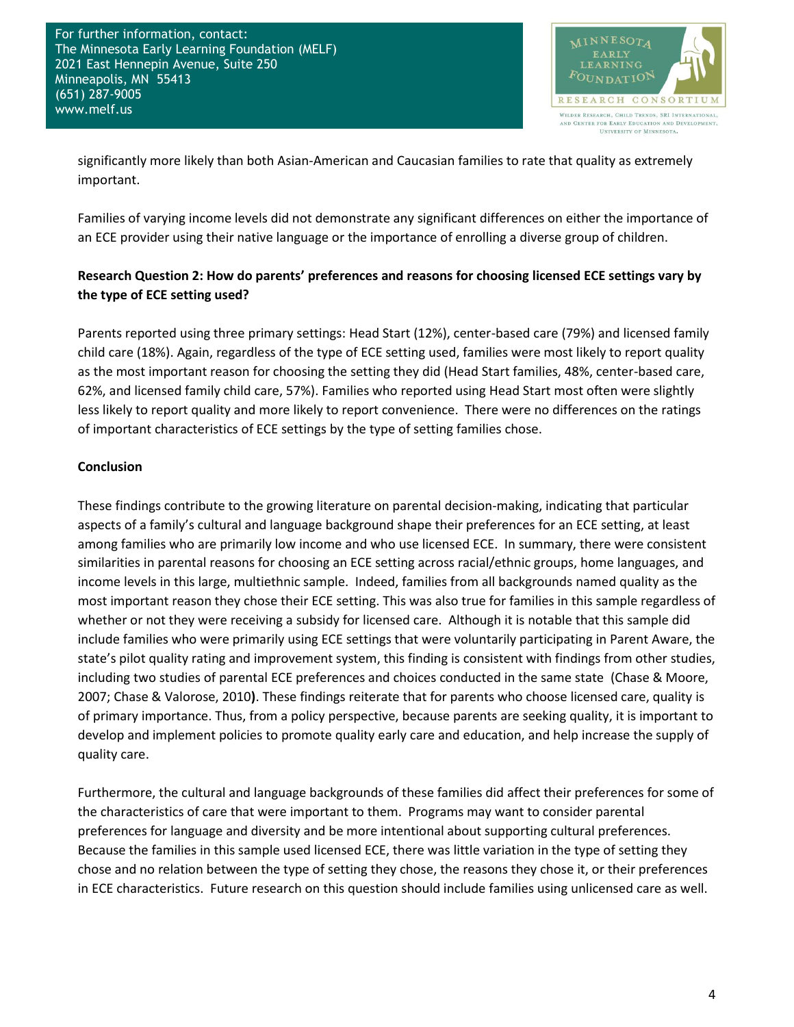

significantly more likely than both Asian-American and Caucasian families to rate that quality as extremely important.

Families of varying income levels did not demonstrate any significant differences on either the importance of an ECE provider using their native language or the importance of enrolling a diverse group of children.

# **Research Question 2: How do parents' preferences and reasons for choosing licensed ECE settings vary by the type of ECE setting used?**

Parents reported using three primary settings: Head Start (12%), center-based care (79%) and licensed family child care (18%). Again, regardless of the type of ECE setting used, families were most likely to report quality as the most important reason for choosing the setting they did (Head Start families, 48%, center-based care, 62%, and licensed family child care, 57%). Families who reported using Head Start most often were slightly less likely to report quality and more likely to report convenience. There were no differences on the ratings of important characteristics of ECE settings by the type of setting families chose.

## **Conclusion**

These findings contribute to the growing literature on parental decision-making, indicating that particular aspects of a family's cultural and language background shape their preferences for an ECE setting, at least among families who are primarily low income and who use licensed ECE. In summary, there were consistent similarities in parental reasons for choosing an ECE setting across racial/ethnic groups, home languages, and income levels in this large, multiethnic sample. Indeed, families from all backgrounds named quality as the most important reason they chose their ECE setting. This was also true for families in this sample regardless of whether or not they were receiving a subsidy for licensed care. Although it is notable that this sample did include families who were primarily using ECE settings that were voluntarily participating in Parent Aware, the state's pilot quality rating and improvement system, this finding is consistent with findings from other studies, including two studies of parental ECE preferences and choices conducted in the same state (Chase & Moore, 2007; Chase & Valorose, 2010**)**. These findings reiterate that for parents who choose licensed care, quality is of primary importance. Thus, from a policy perspective, because parents are seeking quality, it is important to develop and implement policies to promote quality early care and education, and help increase the supply of quality care.

Furthermore, the cultural and language backgrounds of these families did affect their preferences for some of the characteristics of care that were important to them. Programs may want to consider parental preferences for language and diversity and be more intentional about supporting cultural preferences. Because the families in this sample used licensed ECE, there was little variation in the type of setting they chose and no relation between the type of setting they chose, the reasons they chose it, or their preferences in ECE characteristics. Future research on this question should include families using unlicensed care as well.